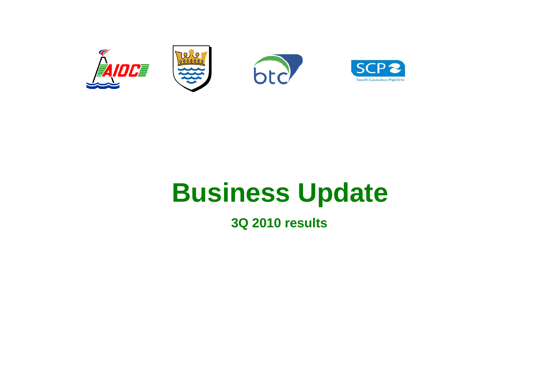

# **Business Update**

**3Q 2010 results**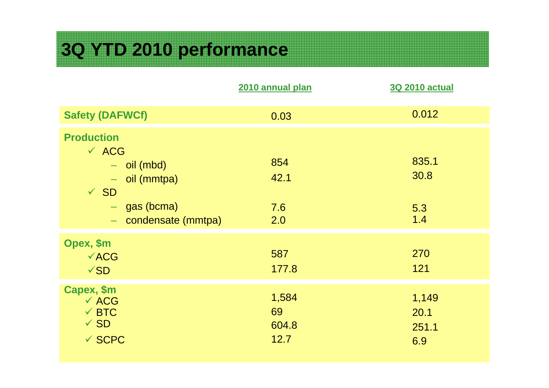## **3Q YTD 2010 performance**

|                                                                                                                                                 | 2010 annual plan             | <b>3Q 2010 actual</b>         |
|-------------------------------------------------------------------------------------------------------------------------------------------------|------------------------------|-------------------------------|
| <b>Safety (DAFWCf)</b>                                                                                                                          | 0.03                         | 0.012                         |
| <b>Production</b><br>$\times$ ACG<br>$-$ oil (mbd)<br>$-$ oil (mmtpa)<br>$\sqrt{SD}$<br>$-$ gas (bcma)<br>condensate (mmtpa)<br>$\rightarrow$ . | 854<br>42.1<br>7.6<br>2.0    | 835.1<br>30.8<br>5.3<br>1.4   |
| Opex, \$m<br>$\sqrt{ACG}$<br>$\sqrt{SD}$                                                                                                        | 587<br>177.8                 | 270<br>121                    |
| Capex, \$m<br>$\times$ ACG<br>$\checkmark$ BTC<br>$\sqrt{SD}$<br>$\checkmark$ SCPC                                                              | 1,584<br>69<br>604.8<br>12.7 | 1,149<br>20.1<br>251.1<br>6.9 |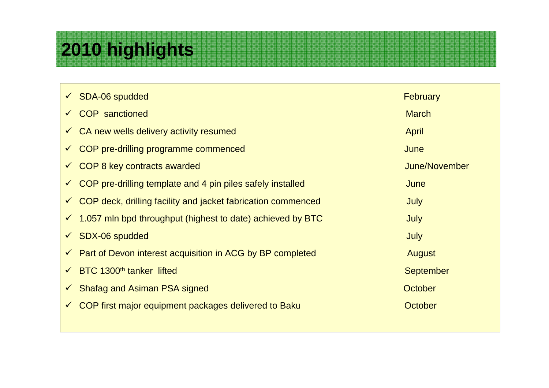## **2010 highlights**

| $\checkmark$ SDA-06 spudded                                                | <b>February</b>  |
|----------------------------------------------------------------------------|------------------|
| <b>COP</b> sanctioned<br>$\checkmark$                                      | <b>March</b>     |
| $\checkmark$ CA new wells delivery activity resumed                        | April            |
| $\checkmark$ COP pre-drilling programme commenced                          | June             |
| COP 8 key contracts awarded<br>$\checkmark$                                | June/November    |
| COP pre-drilling template and 4 pin piles safely installed<br>$\checkmark$ | June             |
| COP deck, drilling facility and jacket fabrication commenced               | July             |
| $\checkmark$ 1.057 mln bpd throughput (highest to date) achieved by BTC    | July             |
| <b>SDX-06 spudded</b><br>$\checkmark$                                      | <b>July</b>      |
| $\checkmark$ Part of Devon interest acquisition in ACG by BP completed     | <b>August</b>    |
| BTC 1300 <sup>th</sup> tanker lifted                                       | <b>September</b> |
| <b>Shafag and Asiman PSA signed</b><br>$\checkmark$                        | October          |
| COP first major equipment packages delivered to Baku<br>$\checkmark$       | October          |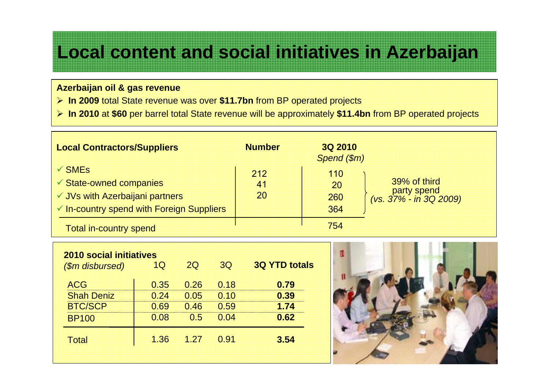### **Local content and social initiatives in Azerbaijan**

#### **Azerbaijan oil & gas revenue**

- ¾ **In 2009** total State revenue was over **\$11.7bn** from BP operated projects
- ¾ **In 2010** at **\$60** per barrel total State revenue will be approximately **\$11.4bn** from BP operated projects

| <b>Local Contractors/Suppliers</b>                                                        | <b>Number</b>   | <b>3Q 2010</b><br>Spend (\$m) |                                                       |
|-------------------------------------------------------------------------------------------|-----------------|-------------------------------|-------------------------------------------------------|
| $\sqrt{\text{SMEs}}$<br><b>✓ State-owned companies</b><br>√ JVs with Azerbaijani partners | 212<br>41<br>20 | 110<br>20<br>260              | 39% of third<br>party spend<br>(vs. 37% - in 3Q 2009) |
| ✔ In-country spend with Foreign Suppliers<br><b>Total in-country spend</b>                |                 | 364<br>754                    |                                                       |

| 0.26<br>0.18<br>0.79<br>0.39<br>0.10<br>0.05<br>0.59<br>0.46<br>1.74 |
|----------------------------------------------------------------------|
|                                                                      |
|                                                                      |
|                                                                      |
| 0.62<br>0.04<br>0.5                                                  |
|                                                                      |

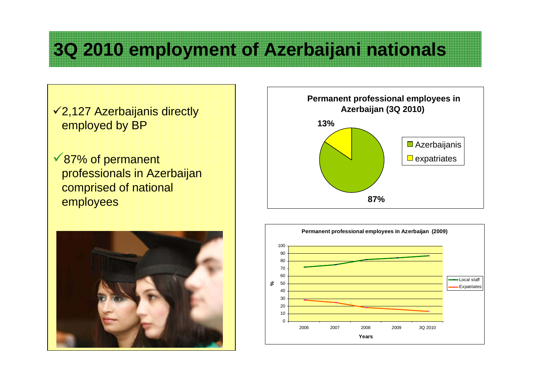## **3Q 2010 employment of Azerbaijani nationals**

 $\sqrt{2,127}$  Azerbaijanis directly employed by BP

 $\sqrt{87\%}$  of permanent professionals in Azerbaijan comprised of national employees





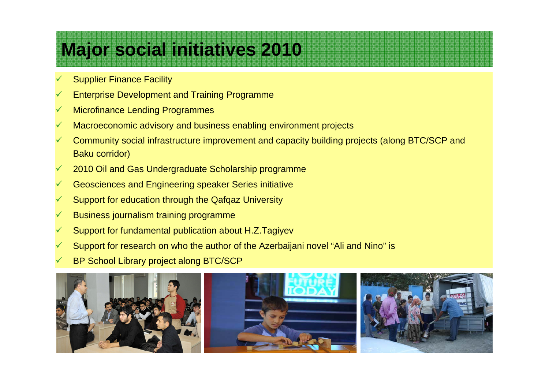## **Major social initiatives 2010**

- $\checkmark$ Supplier Finance Facility
- $\checkmark$ Enterprise Development and Training Programme
- $\checkmark$ Microfinance Lending Programmes
- $\checkmark$ Macroeconomic advisory and business enabling environment projects
- $\checkmark$  Community social infrastructure improvement and capacity building projects (along BTC/SCP and Baku corridor)
- $\checkmark$ 2010 Oil and Gas Undergraduate Scholarship programme
- $\checkmark$ Geosciences and Engineering speaker Series initiative
- $\checkmark$ Support for education through the Qafqaz University
- $\checkmark$ Business journalism training programme
- $\checkmark$ Support for fundamental publication about H.Z.Tagiyev
- $\checkmark$ Support for research on who the author of the Azerbaijani novel "Ali and Nino" is
- $\checkmark$ BP School Library project along BTC/SCP